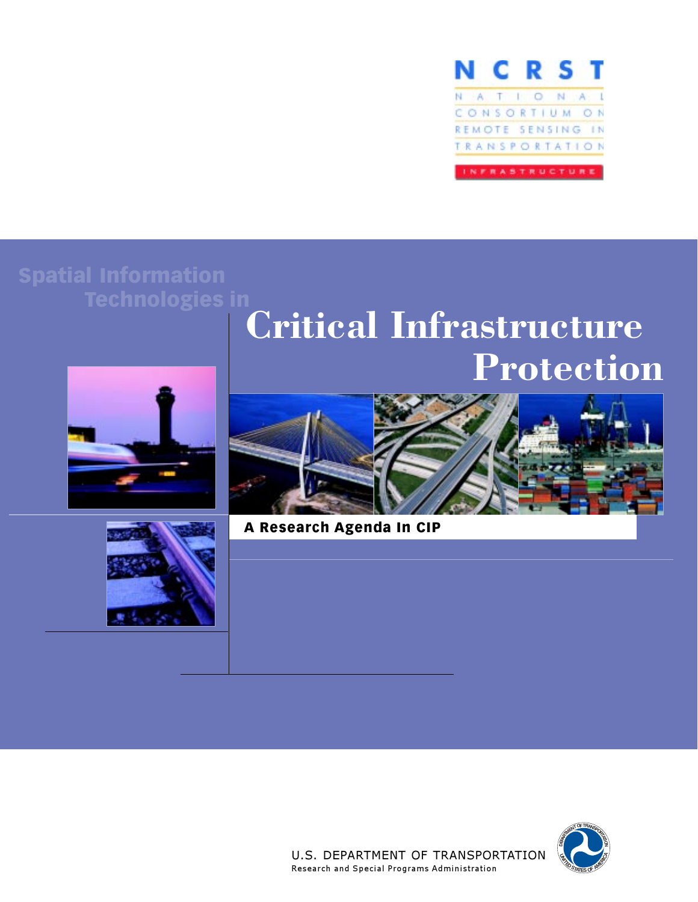

# Critical Infrastructure Protection





## A Research Agenda In CIP





U.S. DEPARTMENT OF TRANSPORTATION Research and Special Programs Administration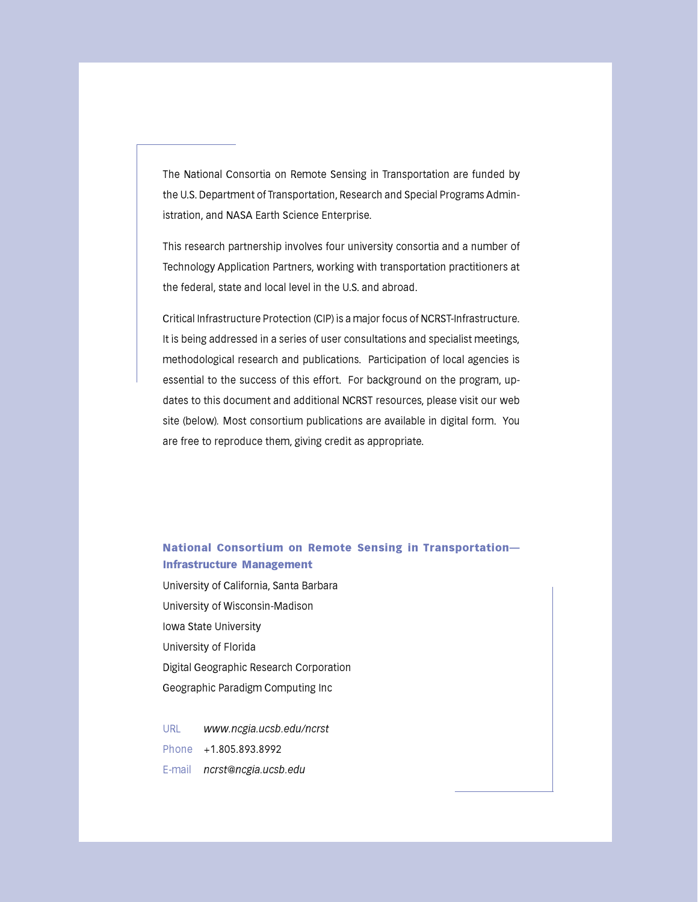The National Consortia on Remote Sensing in Transportation are funded by the U.S. Department of Transportation, Research and Special Programs Administration, and NASA Earth Science Enterprise.

This research partnership involves four university consortia and a number of Technology Application Partners, working with transportation practitioners at the federal, state and local level in the U.S. and abroad.

Critical Infrastructure Protection (CIP) is a major focus of NCRST-Infrastructure. It is being addressed in a series of user consultations and specialist meetings, methodological research and publications. Participation of local agencies is essential to the success of this effort. For background on the program, updates to this document and additional NCRST resources, please visit our web site (below). Most consortium publications are available in digital form. You are free to reproduce them, giving credit as appropriate.

#### National Consortium on Remote Sensing in Transportation— Infrastructure Management

University of California, Santa Barbara University of Wisconsin-Madison Iowa State University University of Florida Digital Geographic Research Corporation Geographic Paradigm Computing Inc

URL www.ncgia.ucsb.edu/ncrst Phone +1.805.893.8992 E-mail ncrst@ncgia.ucsb.edu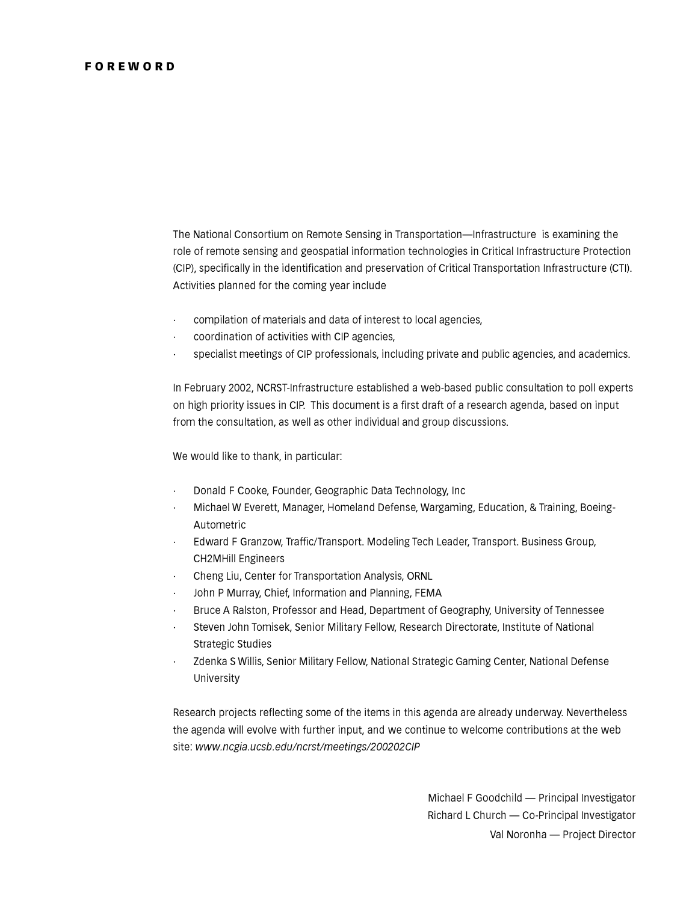The National Consortium on Remote Sensing in Transportation—Infrastructure is examining the role of remote sensing and geospatial information technologies in Critical Infrastructure Protection (CIP), specifically in the identification and preservation of Critical Transportation Infrastructure (CTI). Activities planned for the coming year include

- · compilation of materials and data of interest to local agencies,
- · coordination of activities with CIP agencies,
- · specialist meetings of CIP professionals, including private and public agencies, and academics.

In February 2002, NCRST-Infrastructure established a web-based public consultation to poll experts on high priority issues in CIP. This document is a first draft of a research agenda, based on input from the consultation, as well as other individual and group discussions.

We would like to thank, in particular:

- · Donald F Cooke, Founder, Geographic Data Technology, Inc
- · Michael W Everett, Manager, Homeland Defense, Wargaming, Education, & Training, Boeing-Autometric
- Edward F Granzow, Traffic/Transport. Modeling Tech Leader, Transport. Business Group, CH2MHill Engineers
- · Cheng Liu, Center for Transportation Analysis, ORNL
- · John P Murray, Chief, Information and Planning, FEMA
- · Bruce A Ralston, Professor and Head, Department of Geography, University of Tennessee
- · Steven John Tomisek, Senior Military Fellow, Research Directorate, Institute of National Strategic Studies
- · Zdenka S Willis, Senior Military Fellow, National Strategic Gaming Center, National Defense University

Research projects reflecting some of the items in this agenda are already underway. Nevertheless the agenda will evolve with further input, and we continue to welcome contributions at the web site: www.ncgia.ucsb.edu/ncrst/meetings/200202CIP

> Michael F Goodchild — Principal Investigator Richard L Church — Co-Principal Investigator Val Noronha — Project Director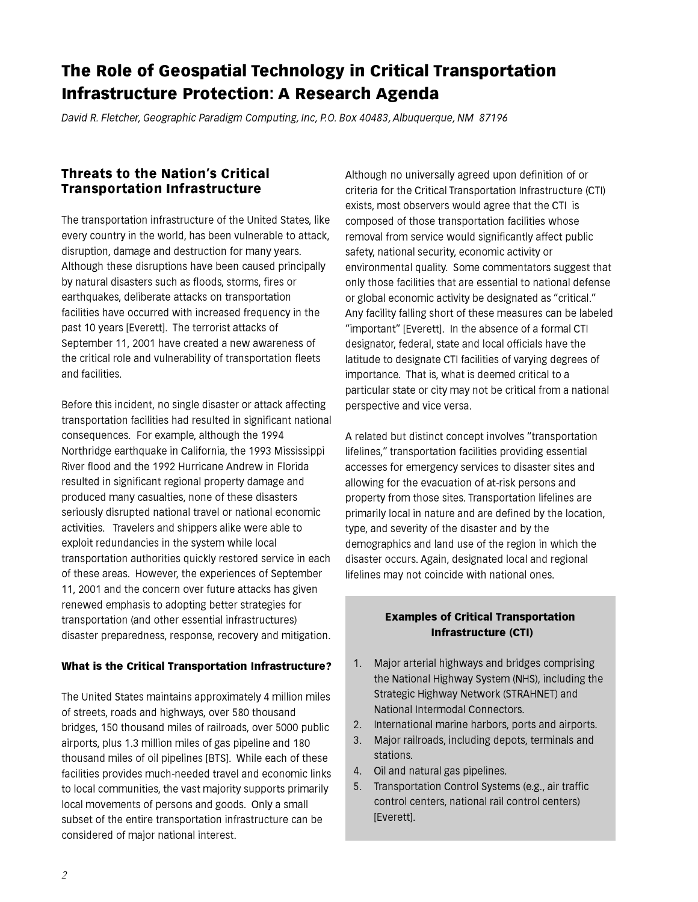# The Role of Geospatial Technology in Critical Transportation Infrastructure Protection: A Research Agenda

David R. Fletcher, Geographic Paradigm Computing, Inc, P.O. Box 40483, Albuquerque, NM 87196

### Threats to the Nation's Critical Transportation Infrastructure

The transportation infrastructure of the United States, like every country in the world, has been vulnerable to attack, disruption, damage and destruction for many years. Although these disruptions have been caused principally by natural disasters such as floods, storms, fires or earthquakes, deliberate attacks on transportation facilities have occurred with increased frequency in the past 10 years [Everett]. The terrorist attacks of September 11, 2001 have created a new awareness of the critical role and vulnerability of transportation fleets and facilities.

Before this incident, no single disaster or attack affecting transportation facilities had resulted in significant national consequences. For example, although the 1994 Northridge earthquake in California, the 1993 Mississippi River flood and the 1992 Hurricane Andrew in Florida resulted in significant regional property damage and produced many casualties, none of these disasters seriously disrupted national travel or national economic activities. Travelers and shippers alike were able to exploit redundancies in the system while local transportation authorities quickly restored service in each of these areas. However, the experiences of September 11, 2001 and the concern over future attacks has given renewed emphasis to adopting better strategies for transportation (and other essential infrastructures) disaster preparedness, response, recovery and mitigation.

#### What is the Critical Transportation Infrastructure?

The United States maintains approximately 4 million miles of streets, roads and highways, over 580 thousand bridges, 150 thousand miles of railroads, over 5000 public airports, plus 1.3 million miles of gas pipeline and 180 thousand miles of oil pipelines [BTS]. While each of these facilities provides much-needed travel and economic links to local communities, the vast majority supports primarily local movements of persons and goods. Only a small subset of the entire transportation infrastructure can be considered of major national interest.

Although no universally agreed upon definition of or criteria for the Critical Transportation Infrastructure (CTI) exists, most observers would agree that the CTI is composed of those transportation facilities whose removal from service would significantly affect public safety, national security, economic activity or environmental quality. Some commentators suggest that only those facilities that are essential to national defense or global economic activity be designated as "critical." Any facility falling short of these measures can be labeled "important" [Everett]. In the absence of a formal CTI designator, federal, state and local officials have the latitude to designate CTI facilities of varying degrees of importance. That is, what is deemed critical to a particular state or city may not be critical from a national perspective and vice versa.

A related but distinct concept involves "transportation lifelines," transportation facilities providing essential accesses for emergency services to disaster sites and allowing for the evacuation of at-risk persons and property from those sites. Transportation lifelines are primarily local in nature and are defined by the location, type, and severity of the disaster and by the demographics and land use of the region in which the disaster occurs. Again, designated local and regional lifelines may not coincide with national ones.

#### Examples of Critical Transportation Infrastructure (CTI)

- 1. Major arterial highways and bridges comprising the National Highway System (NHS), including the Strategic Highway Network (STRAHNET) and National Intermodal Connectors.
- 2. International marine harbors, ports and airports.
- 3. Major railroads, including depots, terminals and stations.
- 4. Oil and natural gas pipelines.
- 5. Transportation Control Systems (e.g., air traffic control centers, national rail control centers) [Everett].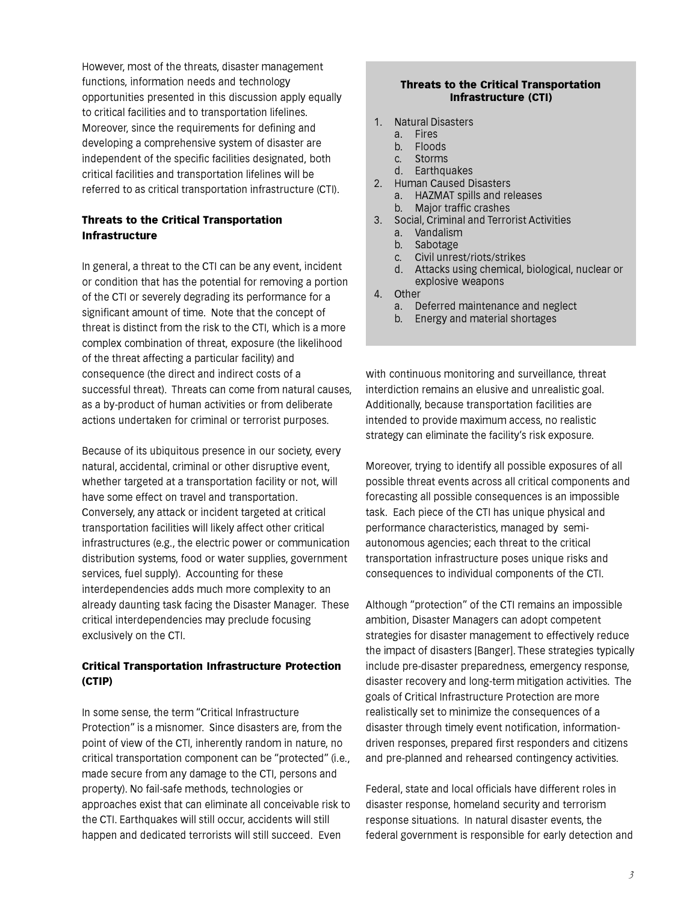However, most of the threats, disaster management functions, information needs and technology opportunities presented in this discussion apply equally to critical facilities and to transportation lifelines. Moreover, since the requirements for defining and developing a comprehensive system of disaster are independent of the specific facilities designated, both critical facilities and transportation lifelines will be referred to as critical transportation infrastructure (CTI).

#### Threats to the Critical Transportation Infrastructure

In general, a threat to the CTI can be any event, incident or condition that has the potential for removing a portion of the CTI or severely degrading its performance for a significant amount of time. Note that the concept of threat is distinct from the risk to the CTI, which is a more complex combination of threat, exposure (the likelihood of the threat affecting a particular facility) and consequence (the direct and indirect costs of a successful threat). Threats can come from natural causes, as a by-product of human activities or from deliberate actions undertaken for criminal or terrorist purposes.

Because of its ubiquitous presence in our society, every natural, accidental, criminal or other disruptive event, whether targeted at a transportation facility or not, will have some effect on travel and transportation. Conversely, any attack or incident targeted at critical transportation facilities will likely affect other critical infrastructures (e.g., the electric power or communication distribution systems, food or water supplies, government services, fuel supply). Accounting for these interdependencies adds much more complexity to an already daunting task facing the Disaster Manager. These critical interdependencies may preclude focusing exclusively on the CTI.

#### Critical Transportation Infrastructure Protection (CTIP)

In some sense, the term "Critical Infrastructure Protection" is a misnomer. Since disasters are, from the point of view of the CTI, inherently random in nature, no critical transportation component can be "protected" (i.e., made secure from any damage to the CTI, persons and property). No fail-safe methods, technologies or approaches exist that can eliminate all conceivable risk to the CTI. Earthquakes will still occur, accidents will still happen and dedicated terrorists will still succeed. Even

#### Threats to the Critical Transportation Infrastructure (CTI)

- 1. Natural Disasters
	- a. Fires
	- b. Floods
	- c. Storms
	- d. Earthquakes
- 2. Human Caused Disasters a. HAZMAT spills and releases
	- b. Major traffic crashes
- 3. Social, Criminal and Terrorist Activities
	- a. Vandalism
	- b. Sabotage
	- c. Civil unrest/riots/strikes
	- d. Attacks using chemical, biological, nuclear or explosive weapons
- 4. Other
	- a. Deferred maintenance and neglect
	- b. Energy and material shortages

with continuous monitoring and surveillance, threat interdiction remains an elusive and unrealistic goal. Additionally, because transportation facilities are intended to provide maximum access, no realistic strategy can eliminate the facility's risk exposure.

Moreover, trying to identify all possible exposures of all possible threat events across all critical components and forecasting all possible consequences is an impossible task. Each piece of the CTI has unique physical and performance characteristics, managed by semiautonomous agencies; each threat to the critical transportation infrastructure poses unique risks and consequences to individual components of the CTI.

Although "protection" of the CTI remains an impossible ambition, Disaster Managers can adopt competent strategies for disaster management to effectively reduce the impact of disasters [Banger]. These strategies typically include pre-disaster preparedness, emergency response, disaster recovery and long-term mitigation activities. The goals of Critical Infrastructure Protection are more realistically set to minimize the consequences of a disaster through timely event notification, informationdriven responses, prepared first responders and citizens and pre-planned and rehearsed contingency activities.

Federal, state and local officials have different roles in disaster response, homeland security and terrorism response situations. In natural disaster events, the federal government is responsible for early detection and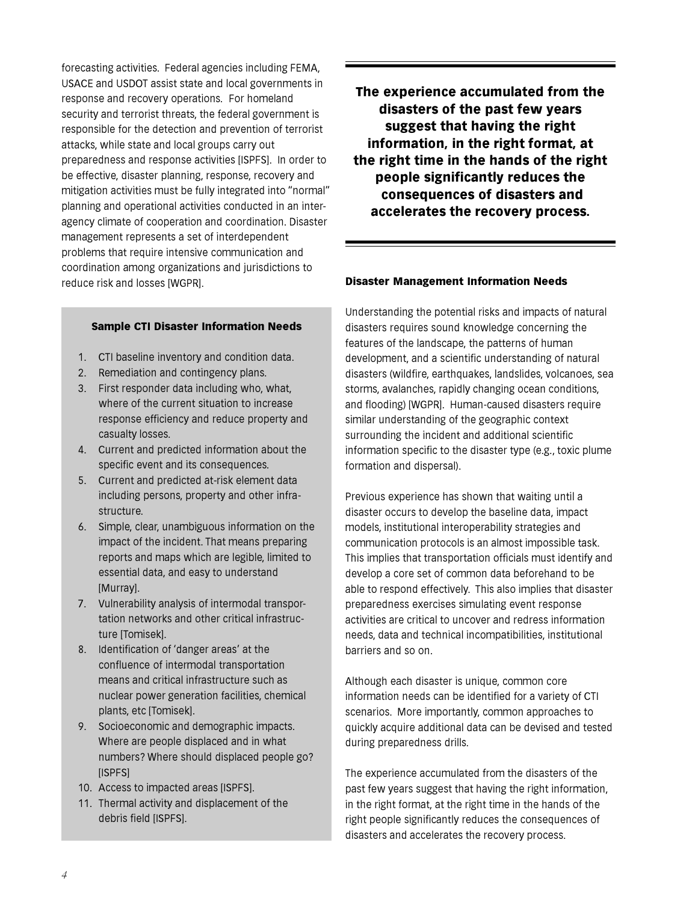forecasting activities. Federal agencies including FEMA, USACE and USDOT assist state and local governments in response and recovery operations. For homeland security and terrorist threats, the federal government is responsible for the detection and prevention of terrorist attacks, while state and local groups carry out preparedness and response activities [ISPFS]. In order to be effective, disaster planning, response, recovery and mitigation activities must be fully integrated into "normal" planning and operational activities conducted in an interagency climate of cooperation and coordination. Disaster management represents a set of interdependent problems that require intensive communication and coordination among organizations and jurisdictions to reduce risk and losses [WGPR]. The Management Information Needs and Disaster Management Information Needs

#### Sample CTI Disaster Information Needs

- 1. CTI baseline inventory and condition data.
- 2. Remediation and contingency plans.
- 3. First responder data including who, what, where of the current situation to increase response efficiency and reduce property and casualty losses.
- 4. Current and predicted information about the specific event and its consequences.
- 5. Current and predicted at-risk element data including persons, property and other infrastructure.
- 6. Simple, clear, unambiguous information on the impact of the incident. That means preparing reports and maps which are legible, limited to essential data, and easy to understand [Murray].
- 7. Vulnerability analysis of intermodal transportation networks and other critical infrastructure [Tomisek].
- 8. Identification of 'danger areas' at the confluence of intermodal transportation means and critical infrastructure such as nuclear power generation facilities, chemical plants, etc [Tomisek].
- 9. Socioeconomic and demographic impacts. Where are people displaced and in what numbers? Where should displaced people go? [ISPFS]
- 10. Access to impacted areas [ISPFS].
- 11. Thermal activity and displacement of the debris field [ISPFS].

The experience accumulated from the disasters of the past few years suggest that having the right information, in the right format, at the right time in the hands of the right people significantly reduces the consequences of disasters and accelerates the recovery process.

Understanding the potential risks and impacts of natural disasters requires sound knowledge concerning the features of the landscape, the patterns of human development, and a scientific understanding of natural disasters (wildfire, earthquakes, landslides, volcanoes, sea storms, avalanches, rapidly changing ocean conditions, and flooding) [WGPR]. Human-caused disasters require similar understanding of the geographic context surrounding the incident and additional scientific information specific to the disaster type (e.g., toxic plume formation and dispersal).

Previous experience has shown that waiting until a disaster occurs to develop the baseline data, impact models, institutional interoperability strategies and communication protocols is an almost impossible task. This implies that transportation officials must identify and develop a core set of common data beforehand to be able to respond effectively. This also implies that disaster preparedness exercises simulating event response activities are critical to uncover and redress information needs, data and technical incompatibilities, institutional barriers and so on.

Although each disaster is unique, common core information needs can be identified for a variety of CTI scenarios. More importantly, common approaches to quickly acquire additional data can be devised and tested during preparedness drills.

The experience accumulated from the disasters of the past few years suggest that having the right information, in the right format, at the right time in the hands of the right people significantly reduces the consequences of disasters and accelerates the recovery process.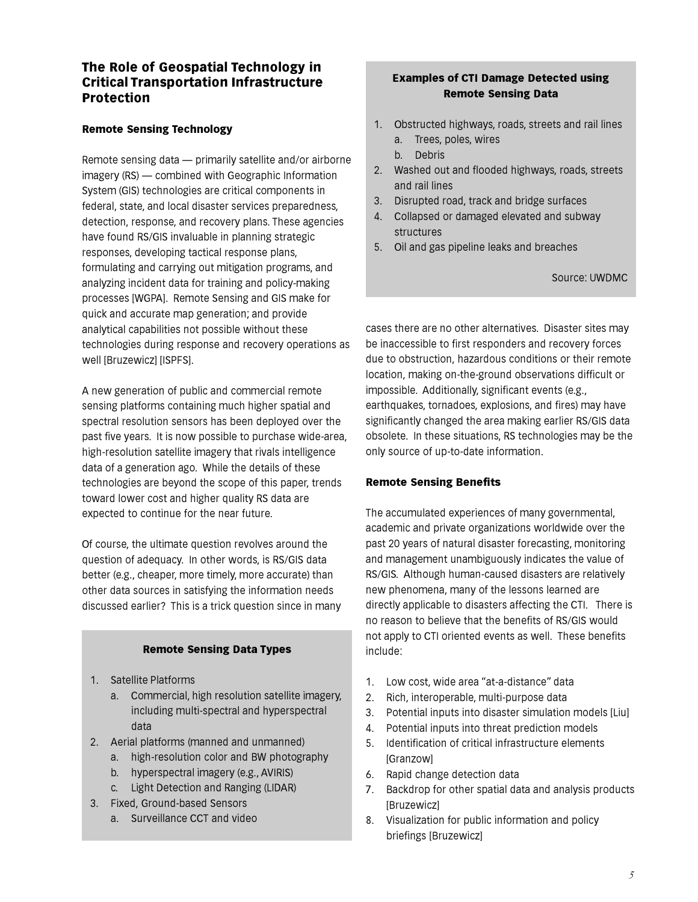#### The Role of Geospatial Technology in Critical Transportation Infrastructure Protection

#### Remote Sensing Technology

Remote sensing data — primarily satellite and/or airborne imagery (RS) — combined with Geographic Information System (GIS) technologies are critical components in federal, state, and local disaster services preparedness, detection, response, and recovery plans. These agencies have found RS/GIS invaluable in planning strategic responses, developing tactical response plans, formulating and carrying out mitigation programs, and analyzing incident data for training and policy-making processes [WGPA]. Remote Sensing and GIS make for quick and accurate map generation; and provide analytical capabilities not possible without these technologies during response and recovery operations as well [Bruzewicz] [ISPFS].

A new generation of public and commercial remote sensing platforms containing much higher spatial and spectral resolution sensors has been deployed over the past five years. It is now possible to purchase wide-area, high-resolution satellite imagery that rivals intelligence data of a generation ago. While the details of these technologies are beyond the scope of this paper, trends toward lower cost and higher quality RS data are expected to continue for the near future.

Of course, the ultimate question revolves around the question of adequacy. In other words, is RS/GIS data better (e.g., cheaper, more timely, more accurate) than other data sources in satisfying the information needs discussed earlier? This is a trick question since in many

#### Remote Sensing Data Types

- 1. Satellite Platforms
	- a. Commercial, high resolution satellite imagery, including multi-spectral and hyperspectral data
- 2. Aerial platforms (manned and unmanned)
	- a. high-resolution color and BW photography
	- b. hyperspectral imagery (e.g., AVIRIS)
	- c. Light Detection and Ranging (LIDAR)
- 3. Fixed, Ground-based Sensors
	- a. Surveillance CCT and video

#### Examples of CTI Damage Detected using Remote Sensing Data

- 1. Obstructed highways, roads, streets and rail lines
	- a. Trees, poles, wires
	- b. Debris
- 2. Washed out and flooded highways, roads, streets and rail lines
- 3. Disrupted road, track and bridge surfaces
- 4. Collapsed or damaged elevated and subway structures
- 5. Oil and gas pipeline leaks and breaches

Source: UWDMC

cases there are no other alternatives. Disaster sites may be inaccessible to first responders and recovery forces due to obstruction, hazardous conditions or their remote location, making on-the-ground observations difficult or impossible. Additionally, significant events (e.g., earthquakes, tornadoes, explosions, and fires) may have significantly changed the area making earlier RS/GIS data obsolete. In these situations, RS technologies may be the only source of up-to-date information.

#### Remote Sensing Benefits

The accumulated experiences of many governmental, academic and private organizations worldwide over the past 20 years of natural disaster forecasting, monitoring and management unambiguously indicates the value of RS/GIS. Although human-caused disasters are relatively new phenomena, many of the lessons learned are directly applicable to disasters affecting the CTI. There is no reason to believe that the benefits of RS/GIS would not apply to CTI oriented events as well. These benefits include:

- 1. Low cost, wide area "at-a-distance" data
- 2. Rich, interoperable, multi-purpose data
- 3. Potential inputs into disaster simulation models [Liu]
- 4. Potential inputs into threat prediction models
- 5. Identification of critical infrastructure elements [Granzow]
- 6. Rapid change detection data
- 7. Backdrop for other spatial data and analysis products **[Bruzewicz]**
- 8. Visualization for public information and policy briefings [Bruzewicz]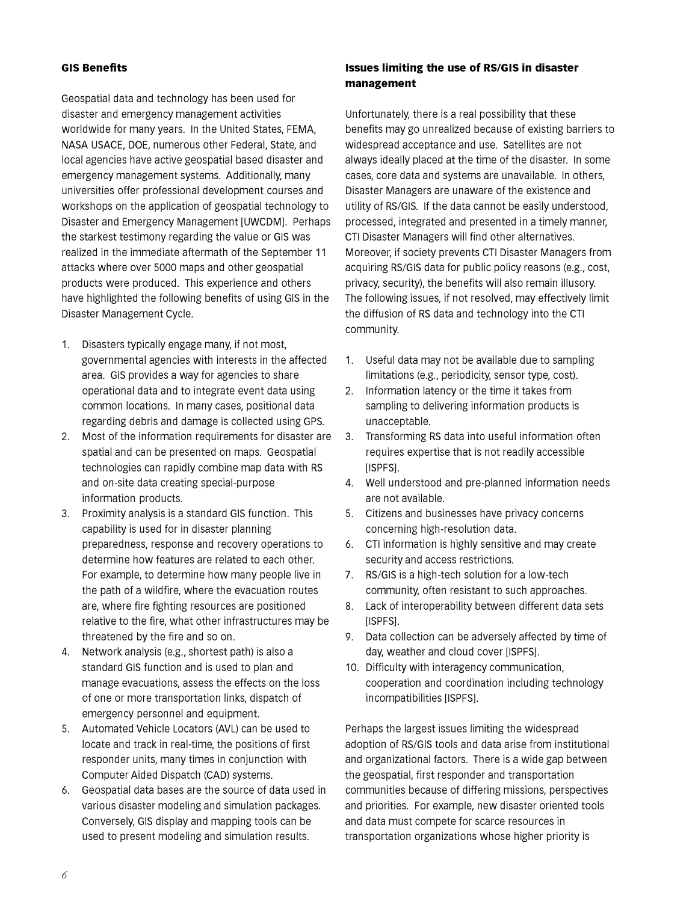#### GIS Benefits

Geospatial data and technology has been used for disaster and emergency management activities worldwide for many years. In the United States, FEMA, NASA USACE, DOE, numerous other Federal, State, and local agencies have active geospatial based disaster and emergency management systems. Additionally, many universities offer professional development courses and workshops on the application of geospatial technology to Disaster and Emergency Management [UWCDM]. Perhaps the starkest testimony regarding the value or GIS was realized in the immediate aftermath of the September 11 attacks where over 5000 maps and other geospatial products were produced. This experience and others have highlighted the following benefits of using GIS in the Disaster Management Cycle.

- 1. Disasters typically engage many, if not most, governmental agencies with interests in the affected area. GIS provides a way for agencies to share operational data and to integrate event data using common locations. In many cases, positional data regarding debris and damage is collected using GPS.
- 2. Most of the information requirements for disaster are spatial and can be presented on maps. Geospatial technologies can rapidly combine map data with RS and on-site data creating special-purpose information products.
- 3. Proximity analysis is a standard GIS function. This capability is used for in disaster planning preparedness, response and recovery operations to determine how features are related to each other. For example, to determine how many people live in the path of a wildfire, where the evacuation routes are, where fire fighting resources are positioned relative to the fire, what other infrastructures may be threatened by the fire and so on.
- 4. Network analysis (e.g., shortest path) is also a standard GIS function and is used to plan and manage evacuations, assess the effects on the loss of one or more transportation links, dispatch of emergency personnel and equipment.
- 5. Automated Vehicle Locators (AVL) can be used to locate and track in real-time, the positions of first responder units, many times in conjunction with Computer Aided Dispatch (CAD) systems.
- 6. Geospatial data bases are the source of data used in various disaster modeling and simulation packages. Conversely, GIS display and mapping tools can be used to present modeling and simulation results.

#### Issues limiting the use of RS/GIS in disaster management

Unfortunately, there is a real possibility that these benefits may go unrealized because of existing barriers to widespread acceptance and use. Satellites are not always ideally placed at the time of the disaster. In some cases, core data and systems are unavailable. In others, Disaster Managers are unaware of the existence and utility of RS/GIS. If the data cannot be easily understood, processed, integrated and presented in a timely manner, CTI Disaster Managers will find other alternatives. Moreover, if society prevents CTI Disaster Managers from acquiring RS/GIS data for public policy reasons (e.g., cost, privacy, security), the benefits will also remain illusory. The following issues, if not resolved, may effectively limit the diffusion of RS data and technology into the CTI community.

- 1. Useful data may not be available due to sampling limitations (e.g., periodicity, sensor type, cost).
- 2. Information latency or the time it takes from sampling to delivering information products is unacceptable.
- 3. Transforming RS data into useful information often requires expertise that is not readily accessible [ISPFS].
- 4. Well understood and pre-planned information needs are not available.
- 5. Citizens and businesses have privacy concerns concerning high-resolution data.
- 6. CTI information is highly sensitive and may create security and access restrictions.
- 7. RS/GIS is a high-tech solution for a low-tech community, often resistant to such approaches.
- 8. Lack of interoperability between different data sets [ISPFS].
- 9. Data collection can be adversely affected by time of day, weather and cloud cover [ISPFS].
- 10. Difficulty with interagency communication, cooperation and coordination including technology incompatibilities [ISPFS].

Perhaps the largest issues limiting the widespread adoption of RS/GIS tools and data arise from institutional and organizational factors. There is a wide gap between the geospatial, first responder and transportation communities because of differing missions, perspectives and priorities. For example, new disaster oriented tools and data must compete for scarce resources in transportation organizations whose higher priority is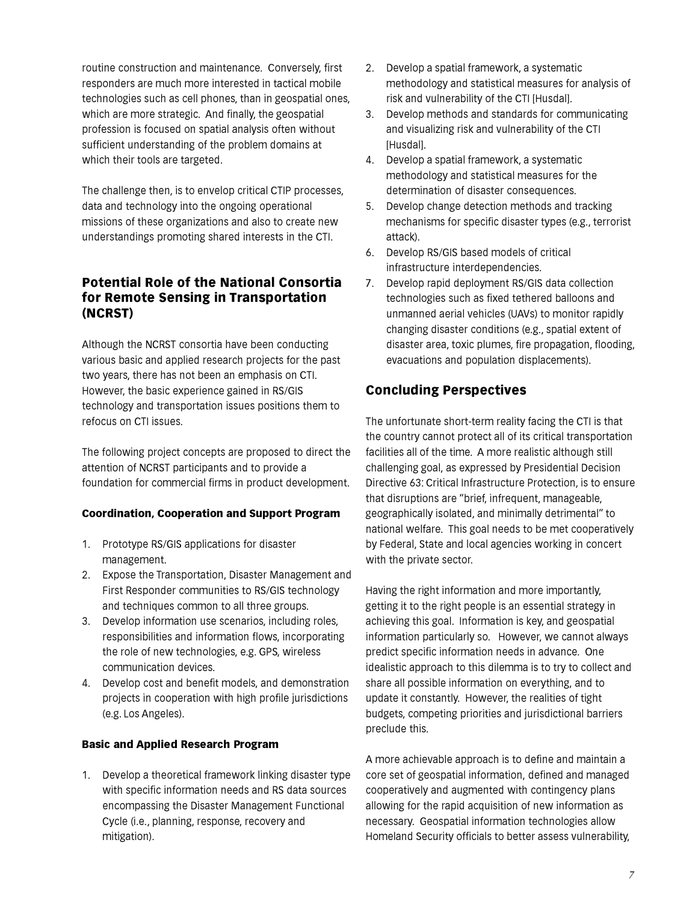routine construction and maintenance. Conversely, first responders are much more interested in tactical mobile technologies such as cell phones, than in geospatial ones, which are more strategic. And finally, the geospatial profession is focused on spatial analysis often without sufficient understanding of the problem domains at which their tools are targeted.

The challenge then, is to envelop critical CTIP processes, data and technology into the ongoing operational missions of these organizations and also to create new understandings promoting shared interests in the CTI.

#### Potential Role of the National Consortia for Remote Sensing in Transportation (NCRST)

Although the NCRST consortia have been conducting various basic and applied research projects for the past two years, there has not been an emphasis on CTI. However, the basic experience gained in RS/GIS technology and transportation issues positions them to refocus on CTI issues.

The following project concepts are proposed to direct the attention of NCRST participants and to provide a foundation for commercial firms in product development.

#### Coordination, Cooperation and Support Program

- 1. Prototype RS/GIS applications for disaster management.
- 2. Expose the Transportation, Disaster Management and First Responder communities to RS/GIS technology and techniques common to all three groups.
- 3. Develop information use scenarios, including roles, responsibilities and information flows, incorporating the role of new technologies, e.g. GPS, wireless communication devices.
- 4. Develop cost and benefit models, and demonstration projects in cooperation with high profile jurisdictions (e.g. Los Angeles).

#### Basic and Applied Research Program

1. Develop a theoretical framework linking disaster type with specific information needs and RS data sources encompassing the Disaster Management Functional Cycle (i.e., planning, response, recovery and mitigation).

- 2. Develop a spatial framework, a systematic methodology and statistical measures for analysis of risk and vulnerability of the CTI [Husdal].
- 3. Develop methods and standards for communicating and visualizing risk and vulnerability of the CTI [Husdal].
- 4. Develop a spatial framework, a systematic methodology and statistical measures for the determination of disaster consequences.
- 5. Develop change detection methods and tracking mechanisms for specific disaster types (e.g., terrorist attack).
- 6. Develop RS/GIS based models of critical infrastructure interdependencies.
- 7. Develop rapid deployment RS/GIS data collection technologies such as fixed tethered balloons and unmanned aerial vehicles (UAVs) to monitor rapidly changing disaster conditions (e.g., spatial extent of disaster area, toxic plumes, fire propagation, flooding, evacuations and population displacements).

## Concluding Perspectives

The unfortunate short-term reality facing the CTI is that the country cannot protect all of its critical transportation facilities all of the time. A more realistic although still challenging goal, as expressed by Presidential Decision Directive 63: Critical Infrastructure Protection, is to ensure that disruptions are "brief, infrequent, manageable, geographically isolated, and minimally detrimental" to national welfare. This goal needs to be met cooperatively by Federal, State and local agencies working in concert with the private sector.

Having the right information and more importantly, getting it to the right people is an essential strategy in achieving this goal. Information is key, and geospatial information particularly so. However, we cannot always predict specific information needs in advance. One idealistic approach to this dilemma is to try to collect and share all possible information on everything, and to update it constantly. However, the realities of tight budgets, competing priorities and jurisdictional barriers preclude this.

A more achievable approach is to define and maintain a core set of geospatial information, defined and managed cooperatively and augmented with contingency plans allowing for the rapid acquisition of new information as necessary. Geospatial information technologies allow Homeland Security officials to better assess vulnerability,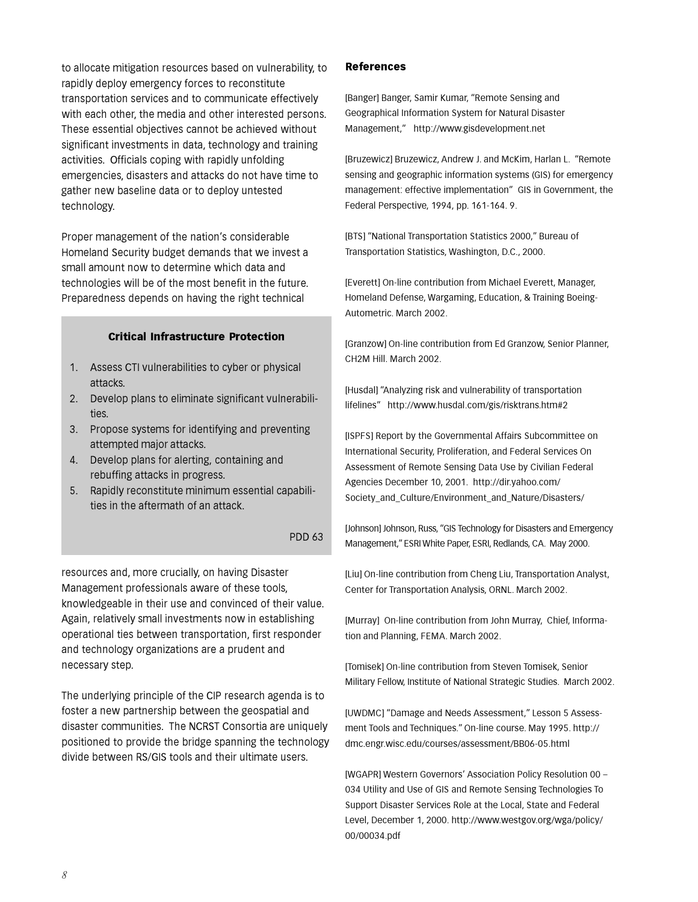to allocate mitigation resources based on vulnerability, to rapidly deploy emergency forces to reconstitute transportation services and to communicate effectively with each other, the media and other interested persons. These essential objectives cannot be achieved without significant investments in data, technology and training activities. Officials coping with rapidly unfolding emergencies, disasters and attacks do not have time to gather new baseline data or to deploy untested technology.

Proper management of the nation's considerable Homeland Security budget demands that we invest a small amount now to determine which data and technologies will be of the most benefit in the future. Preparedness depends on having the right technical

#### Critical Infrastructure Protection

- 1. Assess CTI vulnerabilities to cyber or physical attacks.
- 2. Develop plans to eliminate significant vulnerabilities.
- 3. Propose systems for identifying and preventing attempted major attacks.
- 4. Develop plans for alerting, containing and rebuffing attacks in progress.
- 5. Rapidly reconstitute minimum essential capabilities in the aftermath of an attack.

PDD 63

resources and, more crucially, on having Disaster Management professionals aware of these tools, knowledgeable in their use and convinced of their value. Again, relatively small investments now in establishing operational ties between transportation, first responder and technology organizations are a prudent and necessary step.

The underlying principle of the CIP research agenda is to foster a new partnership between the geospatial and disaster communities. The NCRST Consortia are uniquely positioned to provide the bridge spanning the technology divide between RS/GIS tools and their ultimate users.

#### References

[Banger] Banger, Samir Kumar, "Remote Sensing and Geographical Information System for Natural Disaster Management," http://www.gisdevelopment.net

[Bruzewicz] Bruzewicz, Andrew J. and McKim, Harlan L. "Remote sensing and geographic information systems (GIS) for emergency management: effective implementation" GIS in Government, the Federal Perspective, 1994, pp. 161-164. 9.

[BTS] "National Transportation Statistics 2000," Bureau of Transportation Statistics, Washington, D.C., 2000.

[Everett] On-line contribution from Michael Everett, Manager, Homeland Defense, Wargaming, Education, & Training Boeing-Autometric. March 2002.

[Granzow] On-line contribution from Ed Granzow, Senior Planner, CH2M Hill. March 2002.

[Husdal] "Analyzing risk and vulnerability of transportation lifelines" http://www.husdal.com/gis/risktrans.htm#2

[ISPFS] Report by the Governmental Affairs Subcommittee on International Security, Proliferation, and Federal Services On Assessment of Remote Sensing Data Use by Civilian Federal Agencies December 10, 2001. http://dir.yahoo.com/ Society\_and\_Culture/Environment\_and\_Nature/Disasters/

[Johnson] Johnson, Russ, "GIS Technology for Disasters and Emergency Management," ESRI White Paper, ESRI, Redlands, CA. May 2000.

[Liu] On-line contribution from Cheng Liu, Transportation Analyst, Center for Transportation Analysis, ORNL. March 2002.

[Murray] On-line contribution from John Murray, Chief, Information and Planning, FEMA. March 2002.

[Tomisek] On-line contribution from Steven Tomisek, Senior Military Fellow, Institute of National Strategic Studies. March 2002.

[UWDMC] "Damage and Needs Assessment," Lesson 5 Assessment Tools and Techniques." On-line course. May 1995. http:// dmc.engr.wisc.edu/courses/assessment/BB06-05.html

[WGAPR] Western Governors' Association Policy Resolution 00 – 034 Utility and Use of GIS and Remote Sensing Technologies To Support Disaster Services Role at the Local, State and Federal Level, December 1, 2000. http://www.westgov.org/wga/policy/ 00/00034.pdf